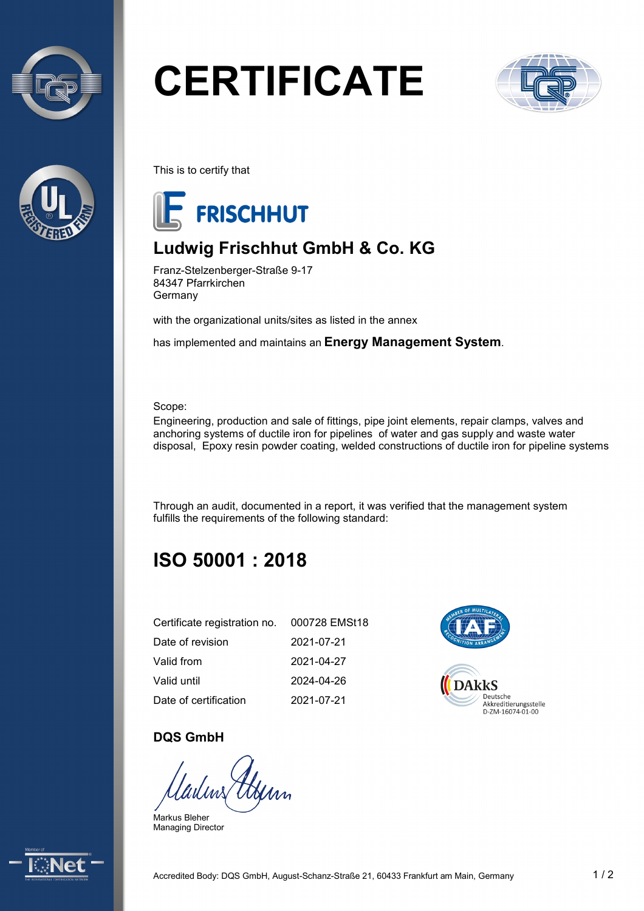



# **CERTIFICATE**



This is to certify that



## **Ludwig Frischhut GmbH & Co. KG**

Franz-Stelzenberger-Straße 9-17 84347 Pfarrkirchen Germany

with the organizational units/sites as listed in the annex

has implemented and maintains an **Energy Management System**.

Scope:

Engineering, production and sale of fittings, pipe joint elements, repair clamps, valves and anchoring systems of ductile iron for pipelines of water and gas supply and waste water disposal, Epoxy resin powder coating, welded constructions of ductile iron for pipeline systems

Through an audit, documented in a report, it was verified that the management system fulfills the requirements of the following standard:

# **ISO 50001 : 2018**

| Certificate registration no. | 000728 EMSt18 |
|------------------------------|---------------|
| Date of revision             | 2021-07-21    |
| Valid from                   | 2021-04-27    |
| Valid until                  | 2024-04-26    |
| Date of certification        | 2021-07-21    |



#### **DQS GmbH**

Markus Bleher Managing Director